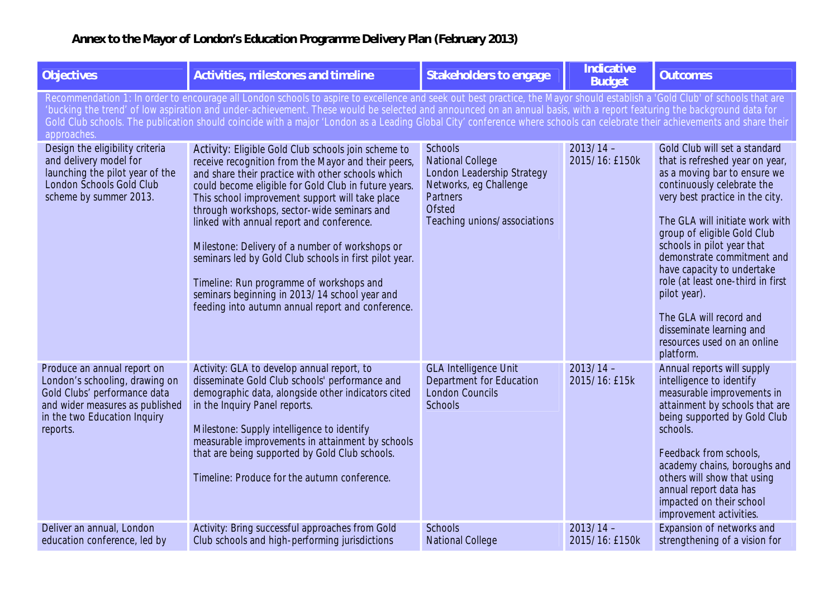## **Annex to the Mayor of London's Education Programme Delivery Plan (February 2013)**

| <b>Objectives</b>                                                                                                                                                                                                                                                                                                                                                                                                                                                                                                                                   | <b>Activities, milestones and timeline</b>                                                                                                                                                                                                                                                                                                                                                                                                                                                                                                                                                                                            | <b>Stakeholders to engage</b>                                                                                                                                  | <b>Indicative</b><br><b>Budget</b> | <b>Outcomes</b>                                                                                                                                                                                                                                                                                                                                                                                                                                                                       |  |
|-----------------------------------------------------------------------------------------------------------------------------------------------------------------------------------------------------------------------------------------------------------------------------------------------------------------------------------------------------------------------------------------------------------------------------------------------------------------------------------------------------------------------------------------------------|---------------------------------------------------------------------------------------------------------------------------------------------------------------------------------------------------------------------------------------------------------------------------------------------------------------------------------------------------------------------------------------------------------------------------------------------------------------------------------------------------------------------------------------------------------------------------------------------------------------------------------------|----------------------------------------------------------------------------------------------------------------------------------------------------------------|------------------------------------|---------------------------------------------------------------------------------------------------------------------------------------------------------------------------------------------------------------------------------------------------------------------------------------------------------------------------------------------------------------------------------------------------------------------------------------------------------------------------------------|--|
| Recommendation 1: In order to encourage all London schools to aspire to excellence and seek out best practice, the Mayor should establish a 'Gold Club' of schools that are<br>'bucking the trend' of low aspiration and under-achievement. These would be selected and announced on an annual basis, with a report featuring the background data for<br>Gold Club schools. The publication should coincide with a major 'London as a Leading Global City' conference where schools can celebrate their achievements and share their<br>approaches. |                                                                                                                                                                                                                                                                                                                                                                                                                                                                                                                                                                                                                                       |                                                                                                                                                                |                                    |                                                                                                                                                                                                                                                                                                                                                                                                                                                                                       |  |
| Design the eligibility criteria<br>and delivery model for<br>launching the pilot year of the<br>London Schools Gold Club<br>scheme by summer 2013.                                                                                                                                                                                                                                                                                                                                                                                                  | Activity: Eligible Gold Club schools join scheme to<br>receive recognition from the Mayor and their peers,<br>and share their practice with other schools which<br>could become eligible for Gold Club in future years.<br>This school improvement support will take place<br>through workshops, sector-wide seminars and<br>linked with annual report and conference.<br>Milestone: Delivery of a number of workshops or<br>seminars led by Gold Club schools in first pilot year.<br>Timeline: Run programme of workshops and<br>seminars beginning in 2013/14 school year and<br>feeding into autumn annual report and conference. | <b>Schools</b><br><b>National College</b><br>London Leadership Strategy<br>Networks, eg Challenge<br>Partners<br><b>Ofsted</b><br>Teaching unions/associations | $2013/14 -$<br>2015/16: £150k      | Gold Club will set a standard<br>that is refreshed year on year,<br>as a moving bar to ensure we<br>continuously celebrate the<br>very best practice in the city.<br>The GLA will initiate work with<br>group of eligible Gold Club<br>schools in pilot year that<br>demonstrate commitment and<br>have capacity to undertake<br>role (at least one-third in first<br>pilot year).<br>The GLA will record and<br>disseminate learning and<br>resources used on an online<br>platform. |  |
| Produce an annual report on<br>London's schooling, drawing on<br>Gold Clubs' performance data<br>and wider measures as published<br>in the two Education Inquiry<br>reports.                                                                                                                                                                                                                                                                                                                                                                        | Activity: GLA to develop annual report, to<br>disseminate Gold Club schools' performance and<br>demographic data, alongside other indicators cited<br>in the Inquiry Panel reports.<br>Milestone: Supply intelligence to identify<br>measurable improvements in attainment by schools<br>that are being supported by Gold Club schools.<br>Timeline: Produce for the autumn conference.                                                                                                                                                                                                                                               | <b>GLA Intelligence Unit</b><br>Department for Education<br><b>London Councils</b><br><b>Schools</b>                                                           | $2013/14 -$<br>2015/16: £15k       | Annual reports will supply<br>intelligence to identify<br>measurable improvements in<br>attainment by schools that are<br>being supported by Gold Club<br>schools.<br>Feedback from schools,<br>academy chains, boroughs and<br>others will show that using<br>annual report data has<br>impacted on their school<br>improvement activities.                                                                                                                                          |  |
| Deliver an annual, London<br>education conference, led by                                                                                                                                                                                                                                                                                                                                                                                                                                                                                           | Activity: Bring successful approaches from Gold<br>Club schools and high-performing jurisdictions                                                                                                                                                                                                                                                                                                                                                                                                                                                                                                                                     | <b>Schools</b><br><b>National College</b>                                                                                                                      | $2013/14 -$<br>2015/16: £150k      | Expansion of networks and<br>strengthening of a vision for                                                                                                                                                                                                                                                                                                                                                                                                                            |  |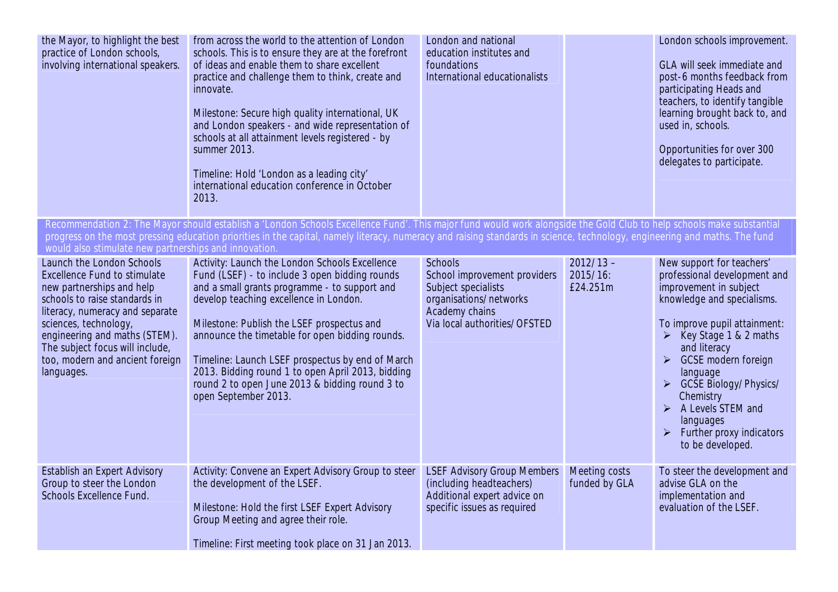| the Mayor, to highlight the best<br>practice of London schools,<br>involving international speakers.                                                                                                                                                                                                            | from across the world to the attention of London<br>schools. This is to ensure they are at the forefront<br>of ideas and enable them to share excellent<br>practice and challenge them to think, create and<br>innovate.<br>Milestone: Secure high quality international, UK<br>and London speakers - and wide representation of<br>schools at all attainment levels registered - by<br>summer 2013.<br>Timeline: Hold 'London as a leading city'<br>international education conference in October<br>2013. | London and national<br>education institutes and<br>foundations<br>International educationalists                                                   |                                     | London schools improvement.<br>GLA will seek immediate and<br>post-6 months feedback from<br>participating Heads and<br>teachers, to identify tangible<br>learning brought back to, and<br>used in, schools.<br>Opportunities for over 300<br>delegates to participate.                                                                                                                                                                                    |
|-----------------------------------------------------------------------------------------------------------------------------------------------------------------------------------------------------------------------------------------------------------------------------------------------------------------|-------------------------------------------------------------------------------------------------------------------------------------------------------------------------------------------------------------------------------------------------------------------------------------------------------------------------------------------------------------------------------------------------------------------------------------------------------------------------------------------------------------|---------------------------------------------------------------------------------------------------------------------------------------------------|-------------------------------------|------------------------------------------------------------------------------------------------------------------------------------------------------------------------------------------------------------------------------------------------------------------------------------------------------------------------------------------------------------------------------------------------------------------------------------------------------------|
| would also stimulate new partnerships and innovation.                                                                                                                                                                                                                                                           | Recommendation 2: The Mayor should establish a 'London Schools Excellence Fund'. This major fund would work alongside the Gold Club to help schools make substantial<br>progress on the most pressing education priorities in the capital, namely literacy, numeracy and raising standards in science, technology, engineering and maths. The fund                                                                                                                                                          |                                                                                                                                                   |                                     |                                                                                                                                                                                                                                                                                                                                                                                                                                                            |
| Launch the London Schools<br><b>Excellence Fund to stimulate</b><br>new partnerships and help<br>schools to raise standards in<br>literacy, numeracy and separate<br>sciences, technology,<br>engineering and maths (STEM).<br>The subject focus will include,<br>too, modern and ancient foreign<br>languages. | Activity: Launch the London Schools Excellence<br>Fund (LSEF) - to include 3 open bidding rounds<br>and a small grants programme - to support and<br>develop teaching excellence in London.<br>Milestone: Publish the LSEF prospectus and<br>announce the timetable for open bidding rounds.<br>Timeline: Launch LSEF prospectus by end of March<br>2013. Bidding round 1 to open April 2013, bidding<br>round 2 to open June 2013 & bidding round 3 to<br>open September 2013.                             | <b>Schools</b><br>School improvement providers<br>Subject specialists<br>organisations/networks<br>Academy chains<br>Via local authorities/OFSTED | $2012/13 -$<br>2015/16:<br>£24.251m | New support for teachers'<br>professional development and<br>improvement in subject<br>knowledge and specialisms.<br>To improve pupil attainment:<br>Key Stage 1 & 2 maths<br>$\blacktriangleright$<br>and literacy<br><b>GCSE</b> modern foreign<br>$\blacktriangleright$<br>language<br>> GCSE Biology/Physics/<br>Chemistry<br>$\triangleright$ A Levels STEM and<br>languages<br>Further proxy indicators<br>$\blacktriangleright$<br>to be developed. |
| <b>Establish an Expert Advisory</b><br>Group to steer the London<br><b>Schools Excellence Fund.</b>                                                                                                                                                                                                             | Activity: Convene an Expert Advisory Group to steer<br>the development of the LSEF.<br>Milestone: Hold the first LSEF Expert Advisory<br>Group Meeting and agree their role.<br>Timeline: First meeting took place on 31 Jan 2013.                                                                                                                                                                                                                                                                          | <b>LSEF Advisory Group Members</b><br>(including headteachers)<br>Additional expert advice on<br>specific issues as required                      | Meeting costs<br>funded by GLA      | To steer the development and<br>advise GLA on the<br>implementation and<br>evaluation of the LSEF.                                                                                                                                                                                                                                                                                                                                                         |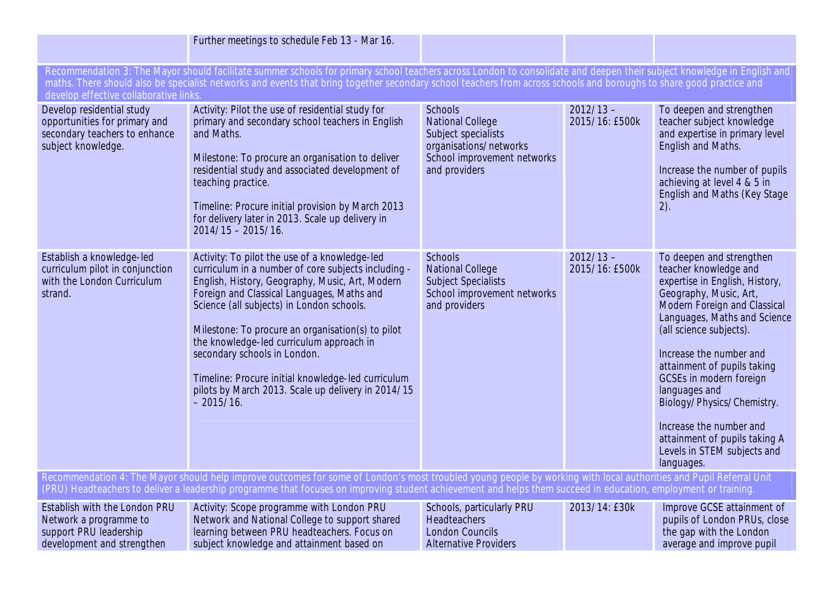|                                                                                                                                                                                                                                                                                                                                       | Further meetings to schedule Feb 13 - Mar 16.                                                                                                                                                                                                                                                                                                                                                                                                                                                                  |                                                                                                                                            |                               |                                                                                                                                                                                                                                                                                                                                                                                                                                                       |
|---------------------------------------------------------------------------------------------------------------------------------------------------------------------------------------------------------------------------------------------------------------------------------------------------------------------------------------|----------------------------------------------------------------------------------------------------------------------------------------------------------------------------------------------------------------------------------------------------------------------------------------------------------------------------------------------------------------------------------------------------------------------------------------------------------------------------------------------------------------|--------------------------------------------------------------------------------------------------------------------------------------------|-------------------------------|-------------------------------------------------------------------------------------------------------------------------------------------------------------------------------------------------------------------------------------------------------------------------------------------------------------------------------------------------------------------------------------------------------------------------------------------------------|
| develop effective collaborative links.                                                                                                                                                                                                                                                                                                | Recommendation 3: The Mayor should facilitate summer schools for primary school teachers across London to consolidate and deepen their subject knowledge in English and<br>maths. There should also be specialist networks and events that bring together secondary school teachers from across schools and boroughs to share good practice and                                                                                                                                                                |                                                                                                                                            |                               |                                                                                                                                                                                                                                                                                                                                                                                                                                                       |
| Develop residential study<br>opportunities for primary and<br>secondary teachers to enhance<br>subject knowledge.                                                                                                                                                                                                                     | Activity: Pilot the use of residential study for<br>primary and secondary school teachers in English<br>and Maths.<br>Milestone: To procure an organisation to deliver<br>residential study and associated development of<br>teaching practice.<br>Timeline: Procure initial provision by March 2013<br>for delivery later in 2013. Scale up delivery in<br>$2014/15 - 2015/16$ .                                                                                                                              | <b>Schools</b><br><b>National College</b><br>Subject specialists<br>organisations/networks<br>School improvement networks<br>and providers | $2012/13 -$<br>2015/16: £500k | To deepen and strengthen<br>teacher subject knowledge<br>and expertise in primary level<br>English and Maths.<br>Increase the number of pupils<br>achieving at level 4 & 5 in<br><b>English and Maths (Key Stage)</b><br>2).                                                                                                                                                                                                                          |
| Establish a knowledge-led<br>curriculum pilot in conjunction<br>with the London Curriculum<br>strand.                                                                                                                                                                                                                                 | Activity: To pilot the use of a knowledge-led<br>curriculum in a number of core subjects including -<br>English, History, Geography, Music, Art, Modern<br>Foreign and Classical Languages, Maths and<br>Science (all subjects) in London schools.<br>Milestone: To procure an organisation(s) to pilot<br>the knowledge-led curriculum approach in<br>secondary schools in London.<br>Timeline: Procure initial knowledge-led curriculum<br>pilots by March 2013. Scale up delivery in 2014/15<br>$-2015/16.$ | <b>Schools</b><br><b>National College</b><br><b>Subject Specialists</b><br>School improvement networks<br>and providers                    | $2012/13 -$<br>2015/16: £500k | To deepen and strengthen<br>teacher knowledge and<br>expertise in English, History,<br>Geography, Music, Art,<br>Modern Foreign and Classical<br>Languages, Maths and Science<br>(all science subjects).<br>Increase the number and<br>attainment of pupils taking<br>GCSEs in modern foreign<br>languages and<br>Biology/Physics/Chemistry.<br>Increase the number and<br>attainment of pupils taking A<br>Levels in STEM subjects and<br>languages. |
| Recommendation 4: The Mayor should help improve outcomes for some of London's most troubled young people by working with local authorities and Pupil Referral Unit<br>(PRU) Headteachers to deliver a leadership programme that focuses on improving student achievement and helps them succeed in education, employment or training. |                                                                                                                                                                                                                                                                                                                                                                                                                                                                                                                |                                                                                                                                            |                               |                                                                                                                                                                                                                                                                                                                                                                                                                                                       |
| Establish with the London PRU<br>Network a programme to<br>support PRU leadership<br>development and strengthen                                                                                                                                                                                                                       | Activity: Scope programme with London PRU<br>Network and National College to support shared<br>learning between PRU headteachers. Focus on<br>subject knowledge and attainment based on                                                                                                                                                                                                                                                                                                                        | Schools, particularly PRU<br>Headteachers<br><b>London Councils</b><br><b>Alternative Providers</b>                                        | 2013/14: £30k                 | Improve GCSE attainment of<br>pupils of London PRUs, close<br>the gap with the London<br>average and improve pupil                                                                                                                                                                                                                                                                                                                                    |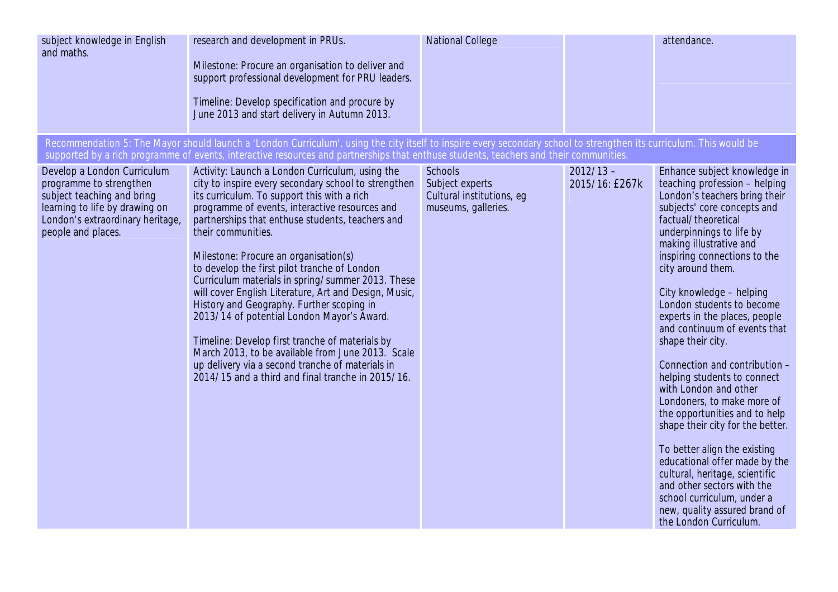| subject knowledge in English<br>and maths.                                                                                                                                       | research and development in PRUs.<br>Milestone: Procure an organisation to deliver and<br>support professional development for PRU leaders.<br>Timeline: Develop specification and procure by<br>June 2013 and start delivery in Autumn 2013.                                                                                                                                                                                                                                                                                                                                                                                                                                                                                                                                                         | <b>National College</b>                                                               |                               | attendance.                                                                                                                                                                                                                                                                                                                                                                                                                                                                                                                                                                                                                                                                                                                                                                                                                           |
|----------------------------------------------------------------------------------------------------------------------------------------------------------------------------------|-------------------------------------------------------------------------------------------------------------------------------------------------------------------------------------------------------------------------------------------------------------------------------------------------------------------------------------------------------------------------------------------------------------------------------------------------------------------------------------------------------------------------------------------------------------------------------------------------------------------------------------------------------------------------------------------------------------------------------------------------------------------------------------------------------|---------------------------------------------------------------------------------------|-------------------------------|---------------------------------------------------------------------------------------------------------------------------------------------------------------------------------------------------------------------------------------------------------------------------------------------------------------------------------------------------------------------------------------------------------------------------------------------------------------------------------------------------------------------------------------------------------------------------------------------------------------------------------------------------------------------------------------------------------------------------------------------------------------------------------------------------------------------------------------|
|                                                                                                                                                                                  | Recommendation 5: The Mayor should launch a 'London Curriculum', using the city itself to inspire every secondary school to strengthen its curriculum. This would be<br>supported by a rich programme of events, interactive resources and partnerships that enthuse students, teachers and their communities.                                                                                                                                                                                                                                                                                                                                                                                                                                                                                        |                                                                                       |                               |                                                                                                                                                                                                                                                                                                                                                                                                                                                                                                                                                                                                                                                                                                                                                                                                                                       |
| Develop a London Curriculum<br>programme to strengthen<br>subject teaching and bring<br>learning to life by drawing on<br>London's extraordinary heritage,<br>people and places. | Activity: Launch a London Curriculum, using the<br>city to inspire every secondary school to strengthen<br>its curriculum. To support this with a rich<br>programme of events, interactive resources and<br>partnerships that enthuse students, teachers and<br>their communities.<br>Milestone: Procure an organisation(s)<br>to develop the first pilot tranche of London<br>Curriculum materials in spring/summer 2013. These<br>will cover English Literature, Art and Design, Music,<br>History and Geography. Further scoping in<br>2013/14 of potential London Mayor's Award.<br>Timeline: Develop first tranche of materials by<br>March 2013, to be available from June 2013. Scale<br>up delivery via a second tranche of materials in<br>2014/15 and a third and final tranche in 2015/16. | <b>Schools</b><br>Subject experts<br>Cultural institutions, eg<br>museums, galleries. | $2012/13 -$<br>2015/16: £267k | Enhance subject knowledge in<br>teaching profession - helping<br>London's teachers bring their<br>subjects' core concepts and<br>factual/theoretical<br>underpinnings to life by<br>making illustrative and<br>inspiring connections to the<br>city around them.<br>City knowledge - helping<br>London students to become<br>experts in the places, people<br>and continuum of events that<br>shape their city.<br>Connection and contribution -<br>helping students to connect<br>with London and other<br>Londoners, to make more of<br>the opportunities and to help<br>shape their city for the better.<br>To better align the existing<br>educational offer made by the<br>cultural, heritage, scientific<br>and other sectors with the<br>school curriculum, under a<br>new, quality assured brand of<br>the London Curriculum. |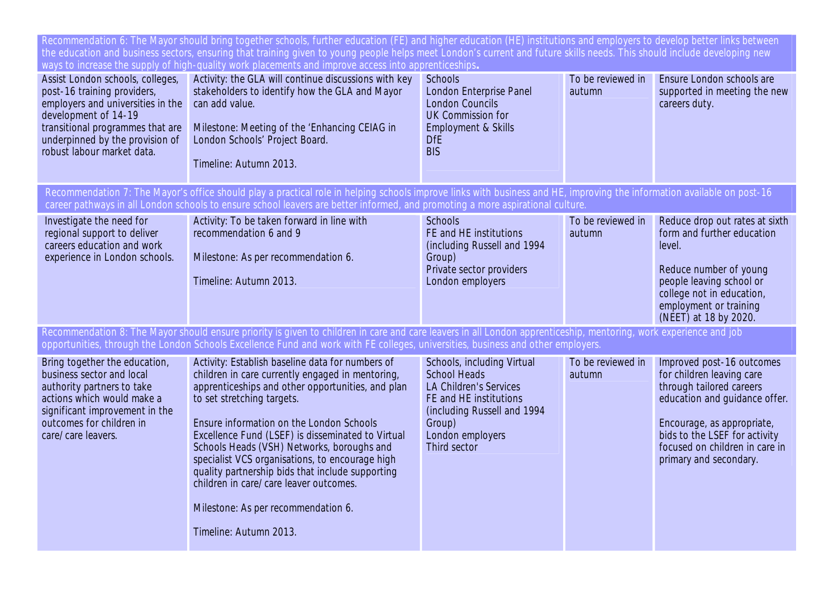|                                                                                                                                                                                                                                   | Recommendation 6: The Mayor should bring together schools, further education (FE) and higher education (HE) institutions and employers to develop better links between<br>the education and business sectors, ensuring that training given to young people helps meet London's current and future skills needs. This should include developing new<br>ways to increase the supply of high-quality work placements and improve access into apprenticeships.                                                                                               |                                                                                                                                                                                           |                             |                                                                                                                                                                                                                                                |
|-----------------------------------------------------------------------------------------------------------------------------------------------------------------------------------------------------------------------------------|----------------------------------------------------------------------------------------------------------------------------------------------------------------------------------------------------------------------------------------------------------------------------------------------------------------------------------------------------------------------------------------------------------------------------------------------------------------------------------------------------------------------------------------------------------|-------------------------------------------------------------------------------------------------------------------------------------------------------------------------------------------|-----------------------------|------------------------------------------------------------------------------------------------------------------------------------------------------------------------------------------------------------------------------------------------|
| Assist London schools, colleges,<br>post-16 training providers,<br>employers and universities in the<br>development of 14-19<br>transitional programmes that are<br>underpinned by the provision of<br>robust labour market data. | Activity: the GLA will continue discussions with key<br>stakeholders to identify how the GLA and Mayor<br>can add value.<br>Milestone: Meeting of the 'Enhancing CEIAG in<br>London Schools' Project Board.<br>Timeline: Autumn 2013.                                                                                                                                                                                                                                                                                                                    | <b>Schools</b><br><b>London Enterprise Panel</b><br><b>London Councils</b><br><b>UK Commission for</b><br>Employment & Skills<br><b>DfE</b><br><b>BIS</b>                                 | To be reviewed in<br>autumn | Ensure London schools are<br>supported in meeting the new<br>careers duty.                                                                                                                                                                     |
|                                                                                                                                                                                                                                   | Recommendation 7: The Mayor's office should play a practical role in helping schools improve links with business and HE, improving the information available on post-16<br>career pathways in all London schools to ensure school leavers are better informed, and promoting a more aspirational culture.                                                                                                                                                                                                                                                |                                                                                                                                                                                           |                             |                                                                                                                                                                                                                                                |
| Investigate the need for<br>regional support to deliver<br>careers education and work<br>experience in London schools.                                                                                                            | Activity: To be taken forward in line with<br>recommendation 6 and 9<br>Milestone: As per recommendation 6.<br>Timeline: Autumn 2013.                                                                                                                                                                                                                                                                                                                                                                                                                    | <b>Schools</b><br>FE and HE institutions<br>(including Russell and 1994<br>Group)<br>Private sector providers<br>London employers                                                         | To be reviewed in<br>autumn | Reduce drop out rates at sixth<br>form and further education<br>level.<br>Reduce number of young<br>people leaving school or<br>college not in education,<br>employment or training<br>(NEET) at 18 by 2020.                                   |
|                                                                                                                                                                                                                                   | Recommendation 8: The Mayor should ensure priority is given to children in care and care leavers in all London apprenticeship, mentoring, work experience and job<br>opportunities, through the London Schools Excellence Fund and work with FE colleges, universities, business and other employers.                                                                                                                                                                                                                                                    |                                                                                                                                                                                           |                             |                                                                                                                                                                                                                                                |
| Bring together the education,<br>business sector and local<br>authority partners to take<br>actions which would make a<br>significant improvement in the<br>outcomes for children in<br>care/care leavers.                        | Activity: Establish baseline data for numbers of<br>children in care currently engaged in mentoring,<br>apprenticeships and other opportunities, and plan<br>to set stretching targets.<br>Ensure information on the London Schools<br>Excellence Fund (LSEF) is disseminated to Virtual<br>Schools Heads (VSH) Networks, boroughs and<br>specialist VCS organisations, to encourage high<br>quality partnership bids that include supporting<br>children in care/care leaver outcomes.<br>Milestone: As per recommendation 6.<br>Timeline: Autumn 2013. | Schools, including Virtual<br><b>School Heads</b><br><b>LA Children's Services</b><br>FE and HE institutions<br>(including Russell and 1994<br>Group)<br>London employers<br>Third sector | To be reviewed in<br>autumn | Improved post-16 outcomes<br>for children leaving care<br>through tailored careers<br>education and guidance offer.<br>Encourage, as appropriate,<br>bids to the LSEF for activity<br>focused on children in care in<br>primary and secondary. |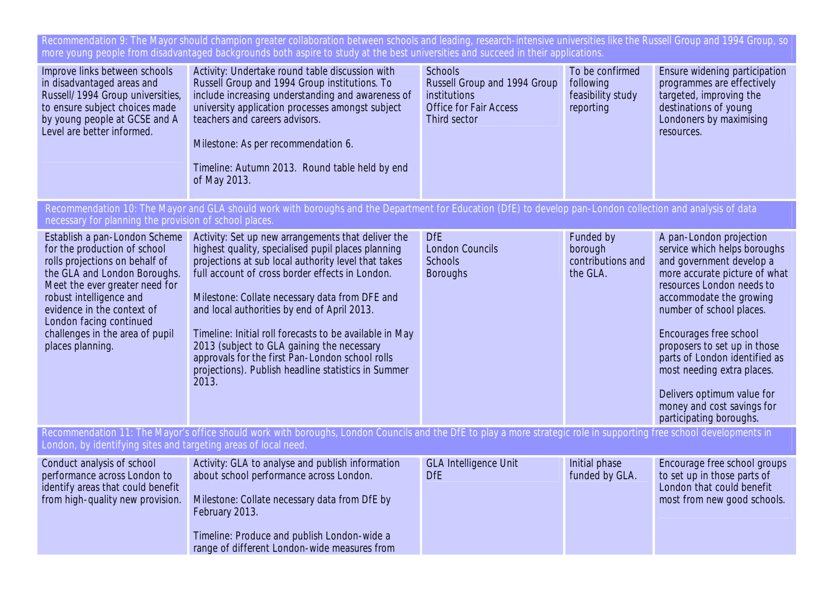Recommendation 9: The Mayor should champion greater collaboration between schools and leading, research-intensive universities like the Russell Group and 1994 Group, so more young people from disadvantaged backgrounds both aspire to study at the best universities and succeed in their applications.

| Improve links between schools<br>in disadvantaged areas and<br>Russell/1994 Group universities,<br>to ensure subject choices made<br>by young people at GCSE and A<br>Level are better informed.                                                                                                             | Activity: Undertake round table discussion with<br>Russell Group and 1994 Group institutions. To<br>include increasing understanding and awareness of<br>university application processes amongst subject<br>teachers and careers advisors.<br>Milestone: As per recommendation 6.<br>Timeline: Autumn 2013. Round table held by end<br>of May 2013.                                                                                                                                                                                            | <b>Schools</b><br>Russell Group and 1994 Group<br>institutions<br><b>Office for Fair Access</b><br>Third sector | To be confirmed<br>following<br>feasibility study<br>reporting | Ensure widening participation<br>programmes are effectively<br>targeted, improving the<br>destinations of young<br>Londoners by maximising<br>resources.                                                                                                                                                                                                                                                                 |
|--------------------------------------------------------------------------------------------------------------------------------------------------------------------------------------------------------------------------------------------------------------------------------------------------------------|-------------------------------------------------------------------------------------------------------------------------------------------------------------------------------------------------------------------------------------------------------------------------------------------------------------------------------------------------------------------------------------------------------------------------------------------------------------------------------------------------------------------------------------------------|-----------------------------------------------------------------------------------------------------------------|----------------------------------------------------------------|--------------------------------------------------------------------------------------------------------------------------------------------------------------------------------------------------------------------------------------------------------------------------------------------------------------------------------------------------------------------------------------------------------------------------|
| necessary for planning the provision of school places.                                                                                                                                                                                                                                                       | Recommendation 10: The Mayor and GLA should work with boroughs and the Department for Education (DfE) to develop pan-London collection and analysis of data                                                                                                                                                                                                                                                                                                                                                                                     |                                                                                                                 |                                                                |                                                                                                                                                                                                                                                                                                                                                                                                                          |
| Establish a pan-London Scheme<br>for the production of school<br>rolls projections on behalf of<br>the GLA and London Boroughs.<br>Meet the ever greater need for<br>robust intelligence and<br>evidence in the context of<br>London facing continued<br>challenges in the area of pupil<br>places planning. | Activity: Set up new arrangements that deliver the<br>highest quality, specialised pupil places planning<br>projections at sub local authority level that takes<br>full account of cross border effects in London.<br>Milestone: Collate necessary data from DFE and<br>and local authorities by end of April 2013.<br>Timeline: Initial roll forecasts to be available in May<br>2013 (subject to GLA gaining the necessary<br>approvals for the first Pan-London school rolls<br>projections). Publish headline statistics in Summer<br>2013. | <b>DfE</b><br><b>London Councils</b><br><b>Schools</b><br><b>Boroughs</b>                                       | Funded by<br>borough<br>contributions and<br>the GLA.          | A pan-London projection<br>service which helps boroughs<br>and government develop a<br>more accurate picture of what<br>resources London needs to<br>accommodate the growing<br>number of school places.<br>Encourages free school<br>proposers to set up in those<br>parts of London identified as<br>most needing extra places.<br>Delivers optimum value for<br>money and cost savings for<br>participating boroughs. |
| London, by identifying sites and targeting areas of local need                                                                                                                                                                                                                                               | Recommendation 11: The Mayor's office should work with boroughs, London Councils and the DfE to play a more strategic role in supporting free school developments in                                                                                                                                                                                                                                                                                                                                                                            |                                                                                                                 |                                                                |                                                                                                                                                                                                                                                                                                                                                                                                                          |
| Conduct analysis of school<br>performance across London to<br>identify areas that could benefit<br>from high-quality new provision.                                                                                                                                                                          | Activity: GLA to analyse and publish information<br>about school performance across London.<br>Milestone: Collate necessary data from DfE by<br>February 2013.<br>Timeline: Produce and publish London-wide a<br>range of different London-wide measures from                                                                                                                                                                                                                                                                                   | <b>GLA Intelligence Unit</b><br><b>DfE</b>                                                                      | Initial phase<br>funded by GLA.                                | Encourage free school groups<br>to set up in those parts of<br>London that could benefit<br>most from new good schools.                                                                                                                                                                                                                                                                                                  |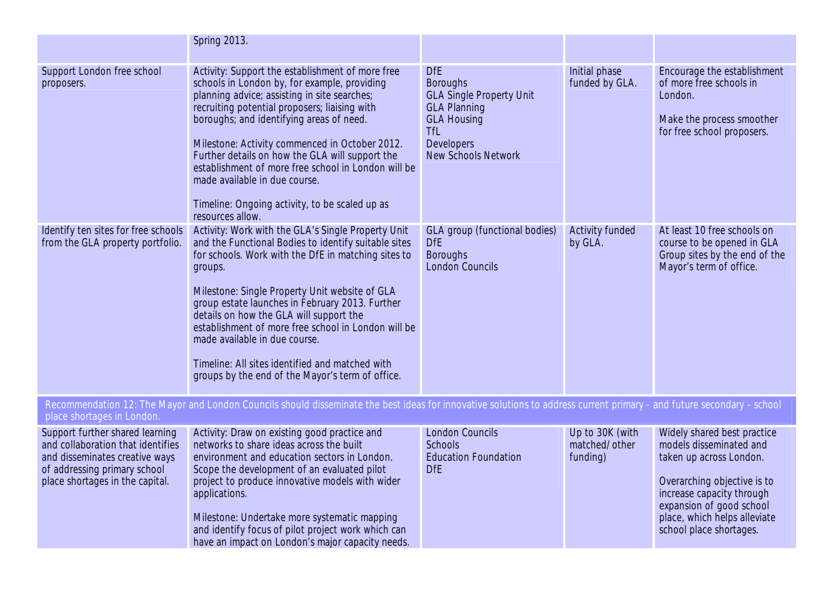|                                                                                                                                                                           | <b>Spring 2013.</b>                                                                                                                                                                                                                                                                                                                                                                                                                                                                                                         |                                                                                                                                                                                |                                              |                                                                                                                                                                                                                                      |
|---------------------------------------------------------------------------------------------------------------------------------------------------------------------------|-----------------------------------------------------------------------------------------------------------------------------------------------------------------------------------------------------------------------------------------------------------------------------------------------------------------------------------------------------------------------------------------------------------------------------------------------------------------------------------------------------------------------------|--------------------------------------------------------------------------------------------------------------------------------------------------------------------------------|----------------------------------------------|--------------------------------------------------------------------------------------------------------------------------------------------------------------------------------------------------------------------------------------|
| Support London free school<br>proposers.                                                                                                                                  | Activity: Support the establishment of more free<br>schools in London by, for example, providing<br>planning advice; assisting in site searches;<br>recruiting potential proposers; liaising with<br>boroughs; and identifying areas of need.<br>Milestone: Activity commenced in October 2012.<br>Further details on how the GLA will support the<br>establishment of more free school in London will be<br>made available in due course.<br>Timeline: Ongoing activity, to be scaled up as<br>resources allow.            | <b>DfE</b><br><b>Boroughs</b><br><b>GLA Single Property Unit</b><br><b>GLA Planning</b><br><b>GLA Housing</b><br><b>TfL</b><br><b>Developers</b><br><b>New Schools Network</b> | Initial phase<br>funded by GLA.              | Encourage the establishment<br>of more free schools in<br>London.<br>Make the process smoother<br>for free school proposers.                                                                                                         |
| Identify ten sites for free schools<br>from the GLA property portfolio.                                                                                                   | Activity: Work with the GLA's Single Property Unit<br>and the Functional Bodies to identify suitable sites<br>for schools. Work with the DfE in matching sites to<br>groups.<br>Milestone: Single Property Unit website of GLA<br>group estate launches in February 2013. Further<br>details on how the GLA will support the<br>establishment of more free school in London will be<br>made available in due course.<br>Timeline: All sites identified and matched with<br>groups by the end of the Mayor's term of office. | <b>GLA</b> group (functional bodies)<br><b>DfE</b><br><b>Boroughs</b><br><b>London Councils</b>                                                                                | <b>Activity funded</b><br>by GLA.            | At least 10 free schools on<br>course to be opened in GLA<br>Group sites by the end of the<br>Mayor's term of office.                                                                                                                |
| place shortages in London.                                                                                                                                                | Recommendation 12: The Mayor and London Councils should disseminate the best ideas for innovative solutions to address current primary - and future secondary - school                                                                                                                                                                                                                                                                                                                                                      |                                                                                                                                                                                |                                              |                                                                                                                                                                                                                                      |
| Support further shared learning<br>and collaboration that identifies<br>and disseminates creative ways<br>of addressing primary school<br>place shortages in the capital. | Activity: Draw on existing good practice and<br>networks to share ideas across the built<br>environment and education sectors in London.<br>Scope the development of an evaluated pilot<br>project to produce innovative models with wider<br>applications.<br>Milestone: Undertake more systematic mapping<br>and identify focus of pilot project work which can<br>have an impact on London's major capacity needs.                                                                                                       | <b>London Councils</b><br><b>Schools</b><br><b>Education Foundation</b><br><b>DfE</b>                                                                                          | Up to 30K (with<br>matched/other<br>funding) | Widely shared best practice<br>models disseminated and<br>taken up across London.<br>Overarching objective is to<br>increase capacity through<br>expansion of good school<br>place, which helps alleviate<br>school place shortages. |